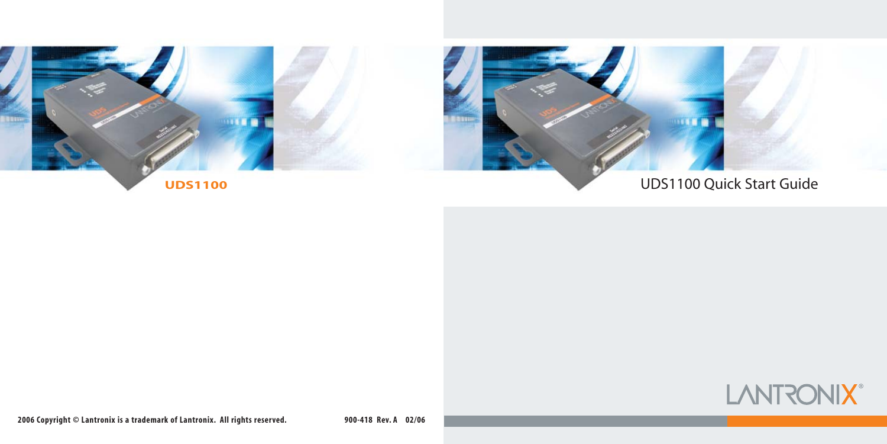

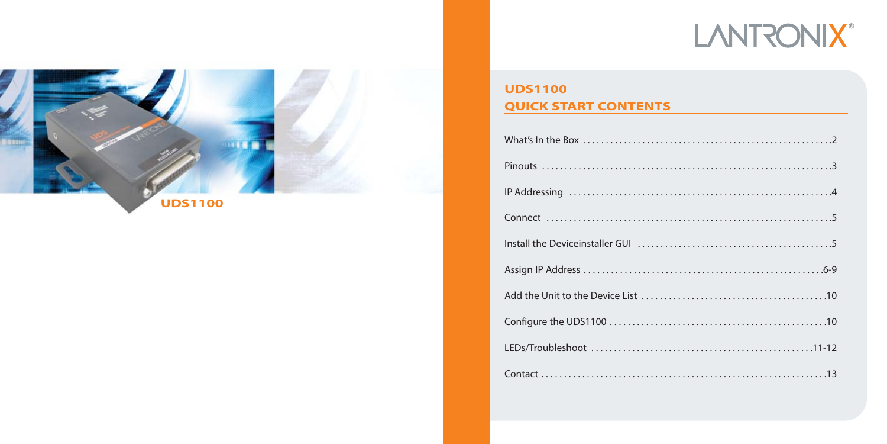# **LANTRONIX®**



## **UDS1100 QUICK START CONTENTS**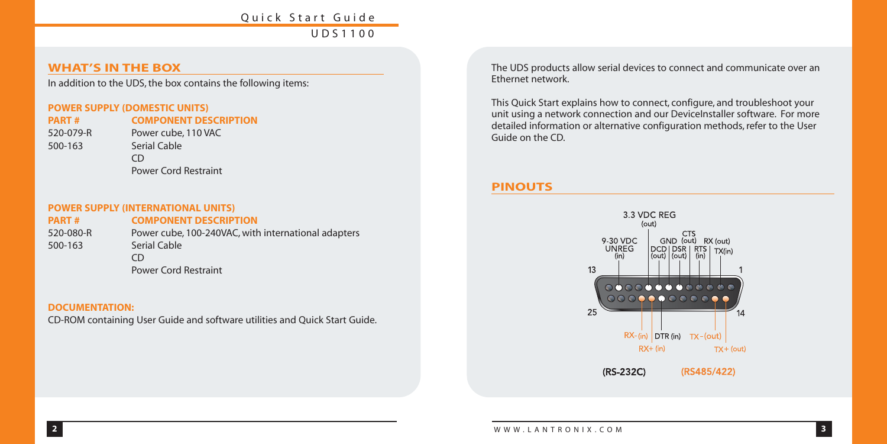#### **WHAT'S IN THE BOX**

In addition to the UDS, the box contains the following items:

#### **POWER SUPPLY (DOMESTIC UNITS)**

500-163 Serial Cable

**PART # COMPONENT DESCRIPTION** 520-079-R Power cube, 110 VAC CD Power Cord Restraint

#### **POWER SUPPLY (INTERNATIONAL UNITS)**

**PART # COMPONENT DESCRIPTION** 520-080-R Power cube, 100-240VAC, with international adapters 500-163 Serial Cable  $CD$ Power Cord Restraint

#### **DOCUMENTATION:**

CD-ROM containing User Guide and software utilities and Quick Start Guide.

The UDS products allow serial devices to connect and communicate over an Ethernet network.

This Quick Start explains how to connect, configure, and troubleshoot your unit using a network connection and our DeviceInstaller software. For more detailed information or alternative configuration methods, refer to the User Guide on the CD.

## **PINOUTS**

![](_page_2_Figure_13.jpeg)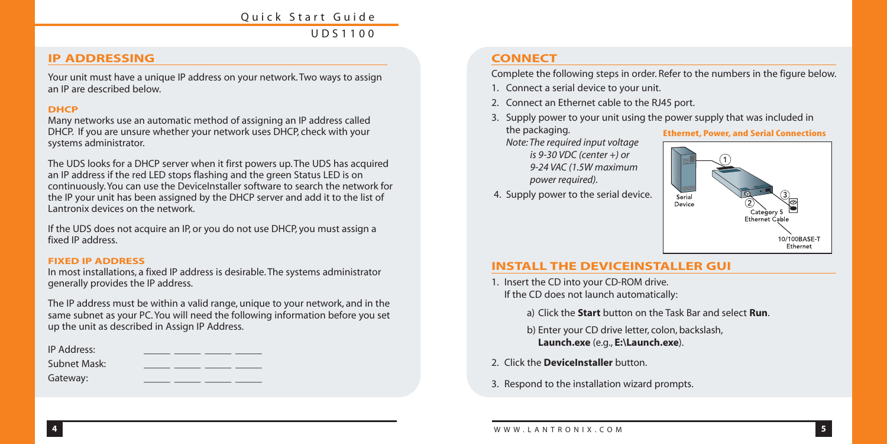#### **IP ADDRESSING**

Your unit must have a unique IP address on your network. Two ways to assign an IP are described below.

#### **DHCP**

Many networks use an automatic method of assigning an IP address called DHCP. If you are unsure whether your network uses DHCP, check with your systems administrator.

The UDS looks for a DHCP server when it first powers up. The UDS has acquired an IP address if the red LED stops flashing and the green Status LED is on continuously. You can use the DeviceInstaller software to search the network for the IP your unit has been assigned by the DHCP server and add it to the list of Lantronix devices on the network.

If the UDS does not acquire an IP, or you do not use DHCP, you must assign a fixed IP address.

#### **FIXED IP ADDRESS**

In most installations, a fixed IP address is desirable. The systems administrator generally provides the IP address.

The IP address must be within a valid range, unique to your network, and in the same subnet as your PC. You will need the following information before you set up the unit as described in Assign IP Address.

| IP Address:  |  |  |  |
|--------------|--|--|--|
| Subnet Mask: |  |  |  |
| Gateway:     |  |  |  |

## **CONNECT**

Complete the following steps in order. Refer to the numbers in the figure below.

- 1. Connect a serial device to your unit.
- 2. Connect an Ethernet cable to the RJ45 port.
- 3. Supply power to your unit using the power supply that was included in the packaging. **Ethernet, Power, and Serial Connections**

*Note: The required input voltage is 9-30 VDC (center +) or 9-24 VAC (1.5W maximum power required).*

4. Supply power to the serial device.

![](_page_3_Figure_18.jpeg)

#### **INSTALL THE DEVICEINSTALLER GUI**

- 1. Insert the CD into your CD-ROM drive. If the CD does not launch automatically:
	- a) Click the **Start** button on the Task Bar and select **Run**.
	- b) Enter your CD drive letter, colon, backslash, **Launch.exe** (e.g., **E:\Launch.exe**).
- 2. Click the **DeviceInstaller** button.
- 3. Respond to the installation wizard prompts.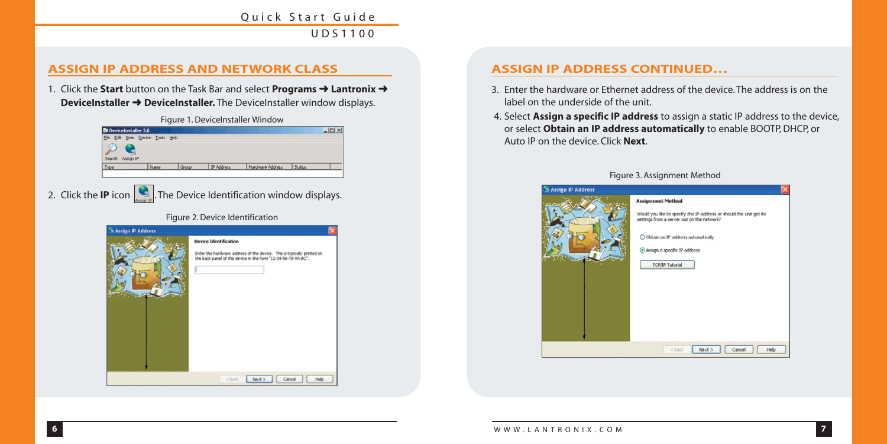## **ASSIGN IP ADDRESS AND NETWORK CLASS**

1. Click the **Start** button on the Task Bar and select **Programs** ➜ **Lantronix** ➜ **DeviceInstaller → DeviceInstaller.** The DeviceInstaller window displays.

![](_page_4_Figure_3.jpeg)

#### Figure 1. DeviceInstaller Window

## **ASSIGN IP ADDRESS CONTINUED…**

- 3. Enter the hardware or Ethernet address of the device. The address is on the label on the underside of the unit.
- 4. Select **Assign a specific IP address** to assign a static IP address to the device, or select **Obtain an IP address automatically** to enable BOOTP, DHCP, or Auto IP on the device. Click **Next**.

![](_page_4_Picture_8.jpeg)

#### Figure 3. Assignment Method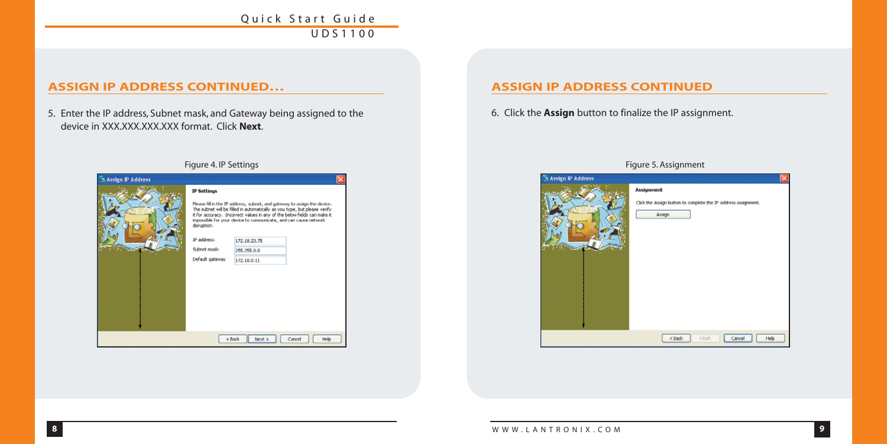## **ASSIGN IP ADDRESS CONTINUED…**

5. Enter the IP address, Subnet mask, and Gateway being assigned to the device in XXX.XXX.XXX.XXX format. Click **Next**.

| Assign IP Address |                                                                                                                                                                                                                                                                                                                       |                 |                |  |
|-------------------|-----------------------------------------------------------------------------------------------------------------------------------------------------------------------------------------------------------------------------------------------------------------------------------------------------------------------|-----------------|----------------|--|
|                   | <b>IP Settings</b>                                                                                                                                                                                                                                                                                                    |                 |                |  |
|                   | Please fill in the IP address, subnet, and gateway to assign the device.<br>The subnet will be filled in automatically as you type, but please verify<br>it for accuracy. Incorrect values in any of the below fields can make it<br>impossible for your device to communicate, and can cause network.<br>disruption. |                 |                |  |
|                   | IP address:                                                                                                                                                                                                                                                                                                           | 172.18.23.75    |                |  |
|                   | Submet mask:                                                                                                                                                                                                                                                                                                          | 255,255.0.0     |                |  |
|                   | Default gateway                                                                                                                                                                                                                                                                                                       | 172.18.0.11     |                |  |
|                   |                                                                                                                                                                                                                                                                                                                       |                 |                |  |
|                   |                                                                                                                                                                                                                                                                                                                       | < Back<br>Nmt > | Cancel<br>Help |  |

## **ASSIGN IP ADDRESS CONTINUED**

6. Click the **Assign** button to finalize the IP assignment.

| S Assign IP Address |                                                                | $\times$ |  |
|---------------------|----------------------------------------------------------------|----------|--|
|                     | Assignment                                                     |          |  |
|                     | Click the Assign button to complete the IP address assignment. |          |  |
|                     | Assign                                                         |          |  |
|                     |                                                                |          |  |
|                     |                                                                |          |  |
|                     |                                                                |          |  |
|                     |                                                                |          |  |
|                     |                                                                |          |  |
|                     |                                                                |          |  |
|                     |                                                                |          |  |
|                     |                                                                |          |  |
|                     | Finish<br><back<br>Help<br/>Cancel</back<br>                   |          |  |
|                     |                                                                |          |  |

#### Figure 4. IP Settings Figure 5. Assignment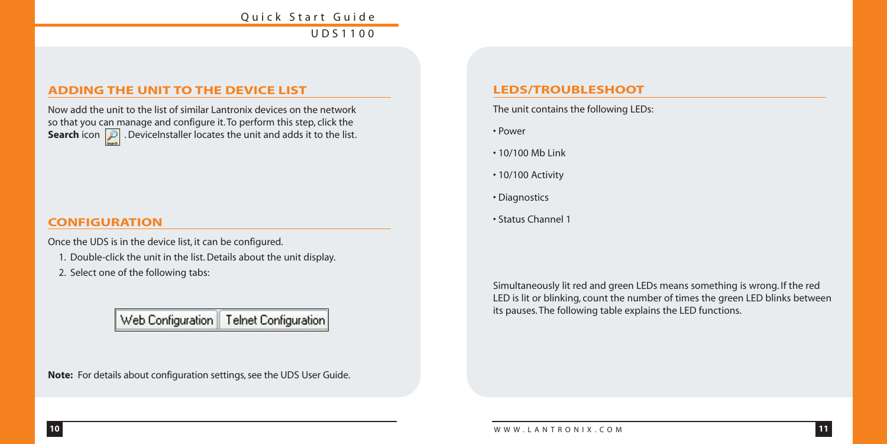#### **ADDING THE UNIT TO THE DEVICE LIST**

Now add the unit to the list of similar Lantronix devices on the network so that you can manage and configure it. To perform this step, click the **Search** icon **D**. DeviceInstaller locates the unit and adds it to the list.

#### **CONFIGURATION**

Once the UDS is in the device list, it can be configured.

- 1. Double-click the unit in the list. Details about the unit display.
- 2. Select one of the following tabs:

# Web Configuration | Telnet Configuration

**Note:** For details about configuration settings, see the UDS User Guide.

#### **LEDS/TROUBLESHOOT**

The unit contains the following LEDs:

- Power
- 10/100 Mb Link
- 10/100 Activity
- Diagnostics
- Status Channel 1

Simultaneously lit red and green LEDs means something is wrong. If the red LED is lit or blinking, count the number of times the green LED blinks between its pauses. The following table explains the LED functions.